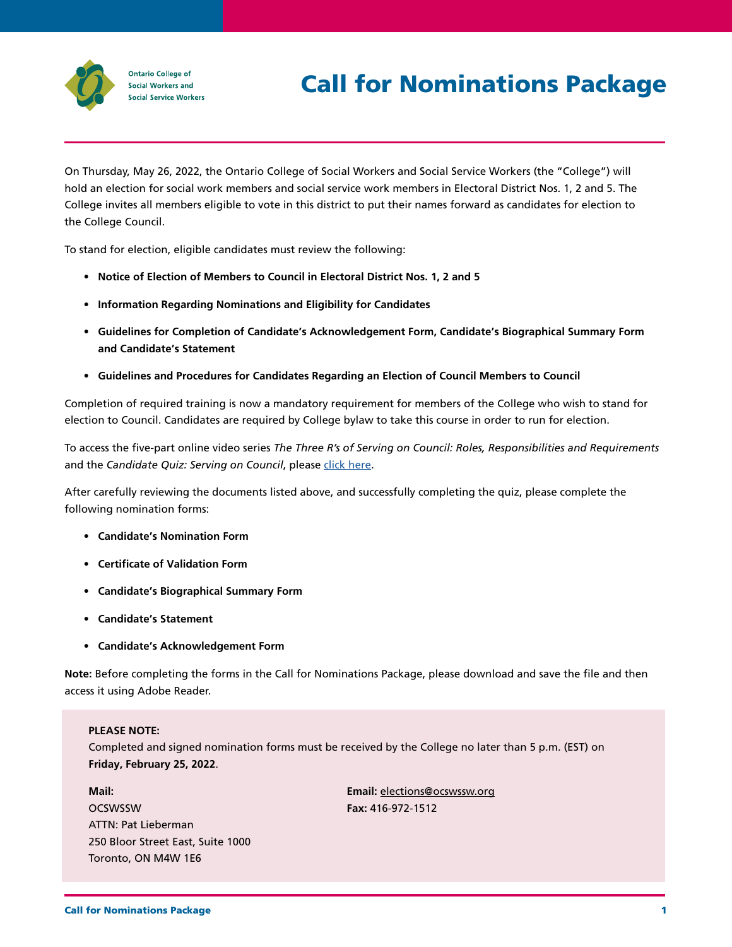

# Call for Nominations Package

On Thursday, May 26, 2022, the Ontario College of Social Workers and Social Service Workers (the "College") will hold an election for social work members and social service work members in Electoral District Nos. 1, 2 and 5. The College invites all members eligible to vote in this district to put their names forward as candidates for election to the College Council.

To stand for election, eligible candidates must review the following:

- **Notice of Election of Members to Council in Electoral District Nos. 1, 2 and 5**
- **Information Regarding Nominations and Eligibility for Candidates**
- **Guidelines for Completion of Candidate's Acknowledgement Form, Candidate's Biographical Summary Form and Candidate's Statement**
- **Guidelines and Procedures for Candidates Regarding an Election of Council Members to Council**

Completion of required training is now a mandatory requirement for members of the College who wish to stand for election to Council. Candidates are required by College bylaw to take this course in order to run for election.

To access the five-part online video series *The Three R's of Serving on Council: Roles, Responsibilities and Requirements*  and the *Candidate Quiz: Serving on Council*, please [click here.](http://www.ocswssw.org/ocswssw-resources/video-1-introduction/)

After carefully reviewing the documents listed above, and successfully completing the quiz, please complete the following nomination forms:

- **Candidate's Nomination Form**
- **Certificate of Validation Form**
- **Candidate's Biographical Summary Form**
- **Candidate's Statement**
- **Candidate's Acknowledgement Form**

**Note:** Before completing the forms in the Call for Nominations Package, please download and save the file and then access it using Adobe Reader.

# **PLEASE NOTE:**

Completed and signed nomination forms must be received by the College no later than 5 p.m. (EST) on **Friday, February 25, 2022**.

**Mail: OCSWSSW** ATTN: Pat Lieberman 250 Bloor Street East, Suite 1000 Toronto, ON M4W 1E6

**Email:** [elections@ocswssw.org](mailto:elections@ocswssw.org)  **Fax:** 416-972-1512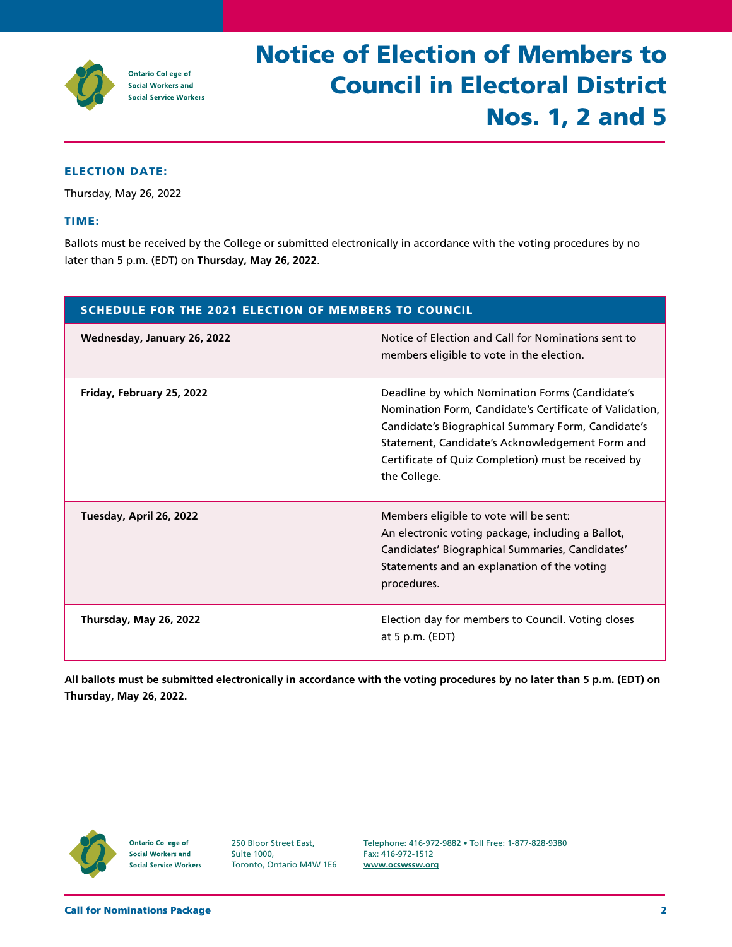

# Notice of Election of Members to Council in Electoral District Nos. 1, 2 and 5

# ELECTION DATE:

Thursday, May 26, 2022

### TIME:

Ballots must be received by the College or submitted electronically in accordance with the voting procedures by no later than 5 p.m. (EDT) on **Thursday, May 26, 2022**.

| <b>SCHEDULE FOR THE 2021 ELECTION OF MEMBERS TO COUNCIL</b> |                                                                                                                                                                                                                                                                                            |  |
|-------------------------------------------------------------|--------------------------------------------------------------------------------------------------------------------------------------------------------------------------------------------------------------------------------------------------------------------------------------------|--|
| Wednesday, January 26, 2022                                 | Notice of Election and Call for Nominations sent to<br>members eligible to vote in the election.                                                                                                                                                                                           |  |
| Friday, February 25, 2022                                   | Deadline by which Nomination Forms (Candidate's<br>Nomination Form, Candidate's Certificate of Validation,<br>Candidate's Biographical Summary Form, Candidate's<br>Statement, Candidate's Acknowledgement Form and<br>Certificate of Quiz Completion) must be received by<br>the College. |  |
| Tuesday, April 26, 2022                                     | Members eligible to vote will be sent:<br>An electronic voting package, including a Ballot,<br>Candidates' Biographical Summaries, Candidates'<br>Statements and an explanation of the voting<br>procedures.                                                                               |  |
| Thursday, May 26, 2022                                      | Election day for members to Council. Voting closes<br>at 5 p.m. $(EDT)$                                                                                                                                                                                                                    |  |

**All ballots must be submitted electronically in accordance with the voting procedures by no later than 5 p.m. (EDT) on Thursday, May 26, 2022.** 



**Ontario College of Social Workers and Social Service Workers**  250 Bloor Street East, Suite 1000, Toronto, Ontario M4W 1E6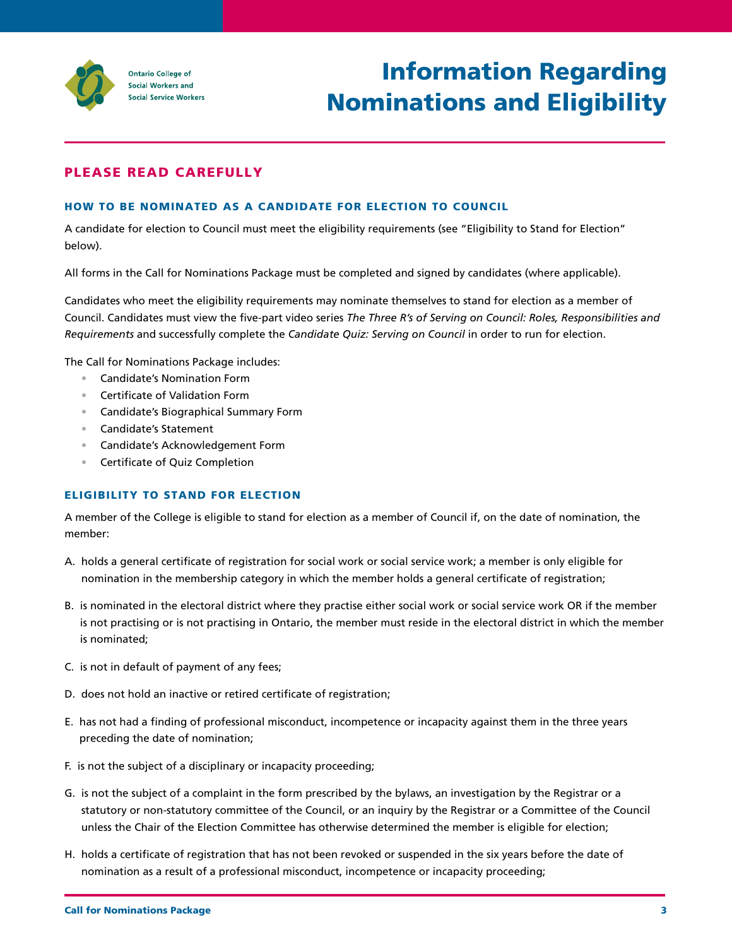

# Information Regarding Nominations and Eligibility

# PLEASE READ CAREFULLY

# HOW TO BE NOMINATED AS A CANDIDATE FOR ELECTION TO COUNCIL

A candidate for election to Council must meet the eligibility requirements (see "Eligibility to Stand for Election" below).

All forms in the Call for Nominations Package must be completed and signed by candidates (where applicable).

 Candidates who meet the eligibility requirements may nominate themselves to stand for election as a member of Council. Candidates must view the five-part video series *The Three R's of Serving on Council: Roles, Responsibilities and Requirements* and successfully complete the *Candidate Quiz: Serving on Council* in order to run for election.

The Call for Nominations Package includes:

- Candidate's Nomination Form
- Certificate of Validation Form
- Candidate's Biographical Summary Form
- Candidate's Statement
- Candidate's Acknowledgement Form
- Certificate of Quiz Completion

# ELIGIBILITY TO STAND FOR ELECTION

A member of the College is eligible to stand for election as a member of Council if, on the date of nomination, the member:

- A. holds a general certificate of registration for social work or social service work; a member is only eligible for nomination in the membership category in which the member holds a general certificate of registration;
- B. is nominated in the electoral district where they practise either social work or social service work OR if the member is not practising or is not practising in Ontario, the member must reside in the electoral district in which the member is nominated;
- C. is not in default of payment of any fees;
- D. does not hold an inactive or retired certificate of registration;
- E. has not had a finding of professional misconduct, incompetence or incapacity against them in the three years preceding the date of nomination;
- F. is not the subject of a disciplinary or incapacity proceeding;
- G. is not the subject of a complaint in the form prescribed by the bylaws, an investigation by the Registrar or a statutory or non-statutory committee of the Council, or an inquiry by the Registrar or a Committee of the Council unless the Chair of the Election Committee has otherwise determined the member is eligible for election;
- H. holds a certificate of registration that has not been revoked or suspended in the six years before the date of nomination as a result of a professional misconduct, incompetence or incapacity proceeding;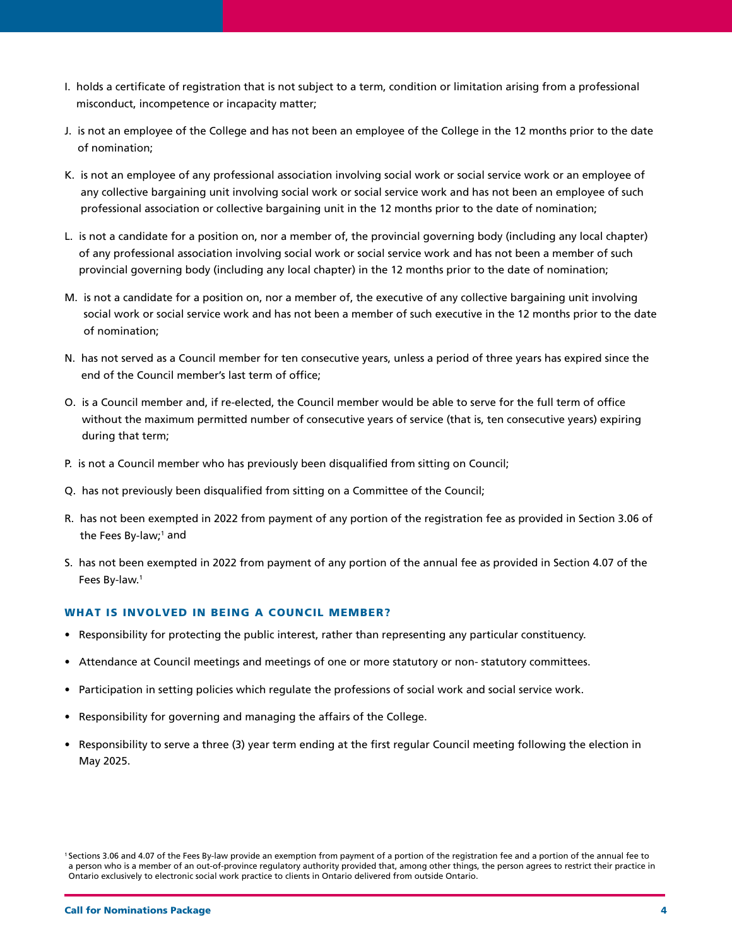- I. holds a certificate of registration that is not subject to a term, condition or limitation arising from a professional misconduct, incompetence or incapacity matter;
- J. is not an employee of the College and has not been an employee of the College in the 12 months prior to the date of nomination;
- K. is not an employee of any professional association involving social work or social service work or an employee of any collective bargaining unit involving social work or social service work and has not been an employee of such professional association or collective bargaining unit in the 12 months prior to the date of nomination;
- L. is not a candidate for a position on, nor a member of, the provincial governing body (including any local chapter) of any professional association involving social work or social service work and has not been a member of such provincial governing body (including any local chapter) in the 12 months prior to the date of nomination;
- M. is not a candidate for a position on, nor a member of, the executive of any collective bargaining unit involving social work or social service work and has not been a member of such executive in the 12 months prior to the date of nomination;
- N. has not served as a Council member for ten consecutive years, unless a period of three years has expired since the end of the Council member's last term of office;
- O. is a Council member and, if re-elected, the Council member would be able to serve for the full term of office without the maximum permitted number of consecutive years of service (that is, ten consecutive years) expiring during that term;
- P. is not a Council member who has previously been disqualified from sitting on Council;
- Q. has not previously been disqualified from sitting on a Committee of the Council;
- R. has not been exempted in 2022 from payment of any portion of the registration fee as provided in Section 3.06 of the Fees By-law;<sup>1</sup> and
- S. has not been exempted in 2022 from payment of any portion of the annual fee as provided in Section 4.07 of the Fees By-law.1

# WHAT IS INVOLVED IN BEING A COUNCIL MEMBER?

- Responsibility for protecting the public interest, rather than representing any particular constituency.
- Attendance at Council meetings and meetings of one or more statutory or non- statutory committees.
- Participation in setting policies which regulate the professions of social work and social service work.
- Responsibility for governing and managing the affairs of the College.
- Responsibility to serve a three (3) year term ending at the first regular Council meeting following the election in May 2025.

<sup>1</sup> Sections 3.06 and 4.07 of the Fees By-law provide an exemption from payment of a portion of the registration fee and a portion of the annual fee to a person who is a member of an out-of-province regulatory authority provided that, among other things, the person agrees to restrict their practice in Ontario exclusively to electronic social work practice to clients in Ontario delivered from outside Ontario.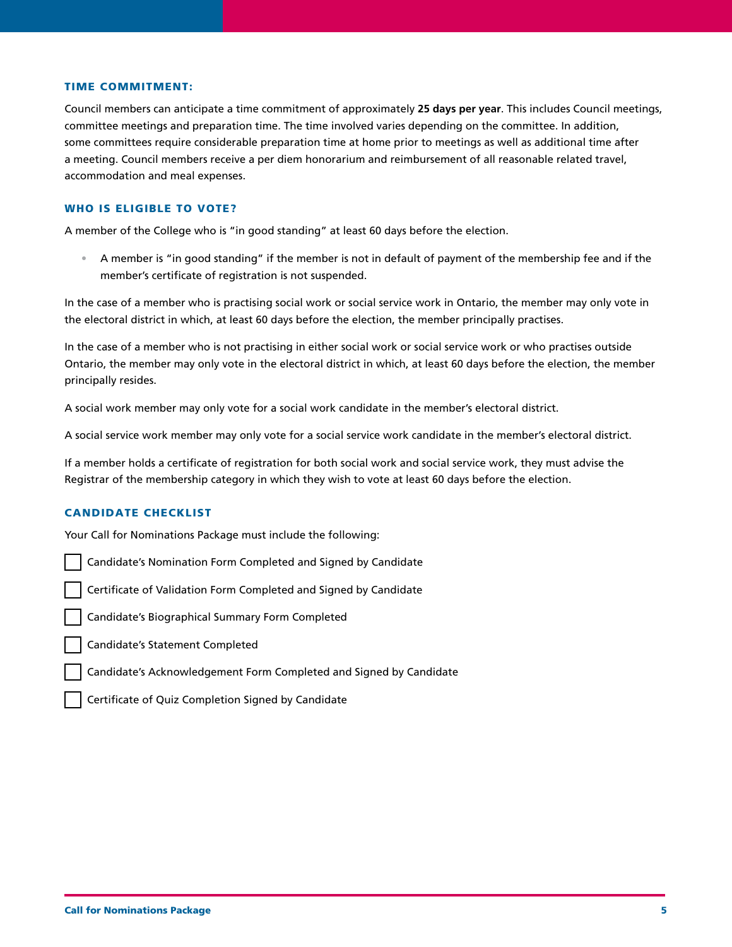#### TIME COMMITMENT:

Council members can anticipate a time commitment of approximately **25 days per year**. This includes Council meetings, committee meetings and preparation time. The time involved varies depending on the committee. In addition, some committees require considerable preparation time at home prior to meetings as well as additional time after a meeting. Council members receive a per diem honorarium and reimbursement of all reasonable related travel, accommodation and meal expenses.

#### WHO IS ELIGIBLE TO VOTE?

A member of the College who is "in good standing" at least 60 days before the election.

• A member is "in good standing" if the member is not in default of payment of the membership fee and if the member's certificate of registration is not suspended.

 In the case of a member who is practising social work or social service work in Ontario, the member may only vote in the electoral district in which, at least 60 days before the election, the member principally practises.

 In the case of a member who is not practising in either social work or social service work or who practises outside Ontario, the member may only vote in the electoral district in which, at least 60 days before the election, the member principally resides.

A social work member may only vote for a social work candidate in the member's electoral district.

A social service work member may only vote for a social service work candidate in the member's electoral district.

If a member holds a certificate of registration for both social work and social service work, they must advise the Registrar of the membership category in which they wish to vote at least 60 days before the election.

# CANDIDATE CHECKLIST

Your Call for Nominations Package must include the following:

Candidate's Nomination Form Completed and Signed by Candidate

Certificate of Validation Form Completed and Signed by Candidate

Candidate's Biographical Summary Form Completed

Candidate's Statement Completed

Candidate's Acknowledgement Form Completed and Signed by Candidate

Certificate of Quiz Completion Signed by Candidate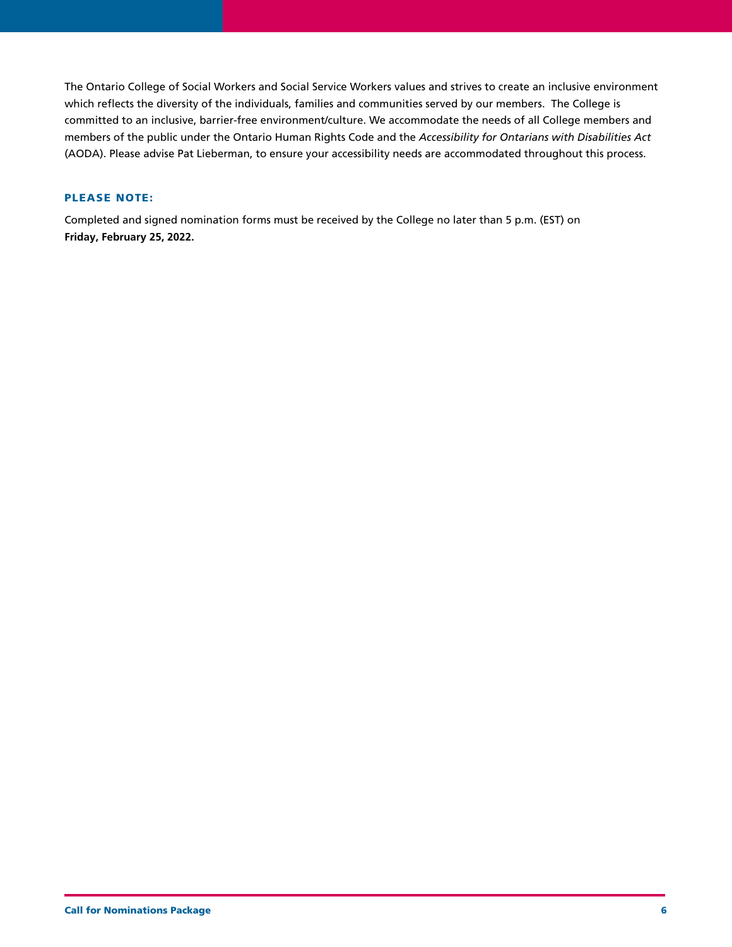The Ontario College of Social Workers and Social Service Workers values and strives to create an inclusive environment which reflects the diversity of the individuals, families and communities served by our members. The College is committed to an inclusive, barrier-free environment/culture. We accommodate the needs of all College members and members of the public under the Ontario Human Rights Code and the *Accessibility for Ontarians with Disabilities Act* (AODA). Please advise Pat Lieberman, to ensure your accessibility needs are accommodated throughout this process.

# PLEASE NOTE:

Completed and signed nomination forms must be received by the College no later than 5 p.m. (EST) on **Friday, February 25, 2022.**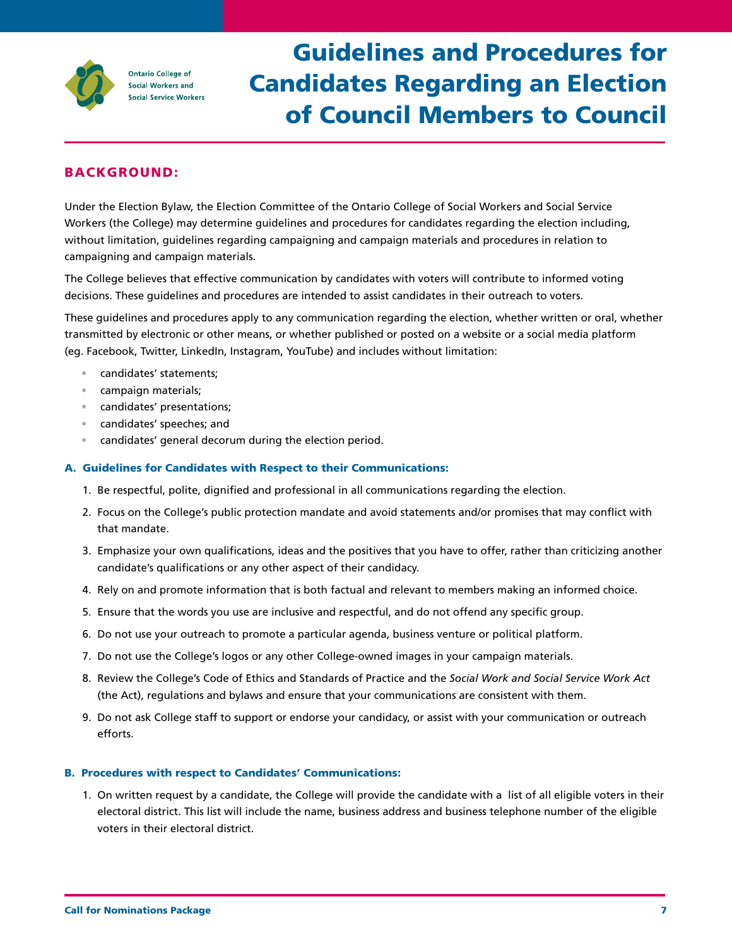

# Guidelines and Procedures for Candidates Regarding an Election of Council Members to Council

# BACKGROUND:

Under the Election Bylaw, the Election Committee of the Ontario College of Social Workers and Social Service Workers (the College) may determine guidelines and procedures for candidates regarding the election including, without limitation, guidelines regarding campaigning and campaign materials and procedures in relation to campaigning and campaign materials.

The College believes that effective communication by candidates with voters will contribute to informed voting decisions. These guidelines and procedures are intended to assist candidates in their outreach to voters.

These guidelines and procedures apply to any communication regarding the election, whether written or oral, whether transmitted by electronic or other means, or whether published or posted on a website or a social media platform (eg. Facebook, Twitter, LinkedIn, Instagram, YouTube) and includes without limitation:

- candidates' statements;
- campaign materials;
- candidates' presentations;
- candidates' speeches; and
- candidates' general decorum during the election period.

### A. Guidelines for Candidates with Respect to their Communications:

- 1. Be respectful, polite, dignified and professional in all communications regarding the election.
- 2. Focus on the College's public protection mandate and avoid statements and/or promises that may conflict with that mandate.
- 3. Emphasize your own qualifications, ideas and the positives that you have to offer, rather than criticizing another candidate's qualifications or any other aspect of their candidacy.
- 4. Rely on and promote information that is both factual and relevant to members making an informed choice.
- 5. Ensure that the words you use are inclusive and respectful, and do not offend any specific group.
- 6. Do not use your outreach to promote a particular agenda, business venture or political platform.
- 7. Do not use the College's logos or any other College-owned images in your campaign materials.
- 8. Review the College's Code of Ethics and Standards of Practice and the *Social Work and Social Service Work Act*  (the Act), regulations and bylaws and ensure that your communications are consistent with them.
- 9. Do not ask College staff to support or endorse your candidacy, or assist with your communication or outreach efforts.

# B. Procedures with respect to Candidates' Communications:

1. On written request by a candidate, the College will provide the candidate with a list of all eligible voters in their electoral district. This list will include the name, business address and business telephone number of the eligible voters in their electoral district.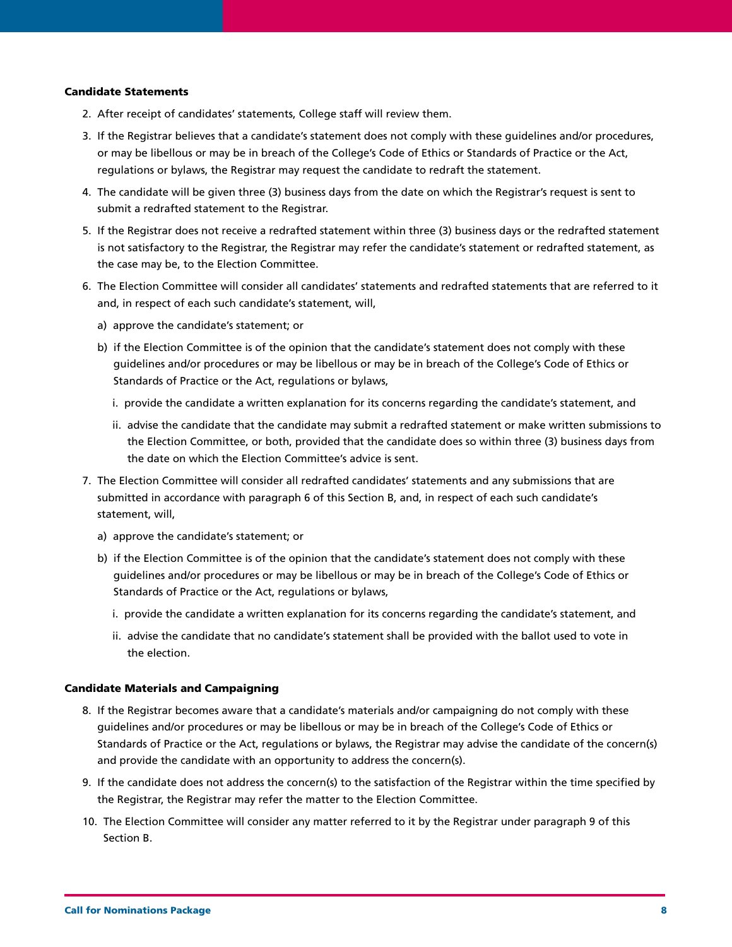### Candidate Statements

- 2. After receipt of candidates' statements, College staff will review them.
- 3. If the Registrar believes that a candidate's statement does not comply with these guidelines and/or procedures, or may be libellous or may be in breach of the College's Code of Ethics or Standards of Practice or the Act, regulations or bylaws, the Registrar may request the candidate to redraft the statement.
- 4. The candidate will be given three (3) business days from the date on which the Registrar's request is sent to submit a redrafted statement to the Registrar.
- 5. If the Registrar does not receive a redrafted statement within three (3) business days or the redrafted statement is not satisfactory to the Registrar, the Registrar may refer the candidate's statement or redrafted statement, as the case may be, to the Election Committee.
- 6. The Election Committee will consider all candidates' statements and redrafted statements that are referred to it and, in respect of each such candidate's statement, will,
	- a) approve the candidate's statement; or
	- b) if the Election Committee is of the opinion that the candidate's statement does not comply with these guidelines and/or procedures or may be libellous or may be in breach of the College's Code of Ethics or Standards of Practice or the Act, regulations or bylaws,
		- i. provide the candidate a written explanation for its concerns regarding the candidate's statement, and
		- ii. advise the candidate that the candidate may submit a redrafted statement or make written submissions to the Election Committee, or both, provided that the candidate does so within three (3) business days from the date on which the Election Committee's advice is sent.
- 7. The Election Committee will consider all redrafted candidates' statements and any submissions that are submitted in accordance with paragraph 6 of this Section B, and, in respect of each such candidate's statement, will,
	- a) approve the candidate's statement; or
	- b) if the Election Committee is of the opinion that the candidate's statement does not comply with these guidelines and/or procedures or may be libellous or may be in breach of the College's Code of Ethics or Standards of Practice or the Act, regulations or bylaws,
		- i. provide the candidate a written explanation for its concerns regarding the candidate's statement, and
		- ii. advise the candidate that no candidate's statement shall be provided with the ballot used to vote in the election.

#### Candidate Materials and Campaigning

- 8. If the Registrar becomes aware that a candidate's materials and/or campaigning do not comply with these guidelines and/or procedures or may be libellous or may be in breach of the College's Code of Ethics or Standards of Practice or the Act, regulations or bylaws, the Registrar may advise the candidate of the concern(s) and provide the candidate with an opportunity to address the concern(s).
- 9. If the candidate does not address the concern(s) to the satisfaction of the Registrar within the time specified by the Registrar, the Registrar may refer the matter to the Election Committee.
- 10. The Election Committee will consider any matter referred to it by the Registrar under paragraph 9 of this Section B.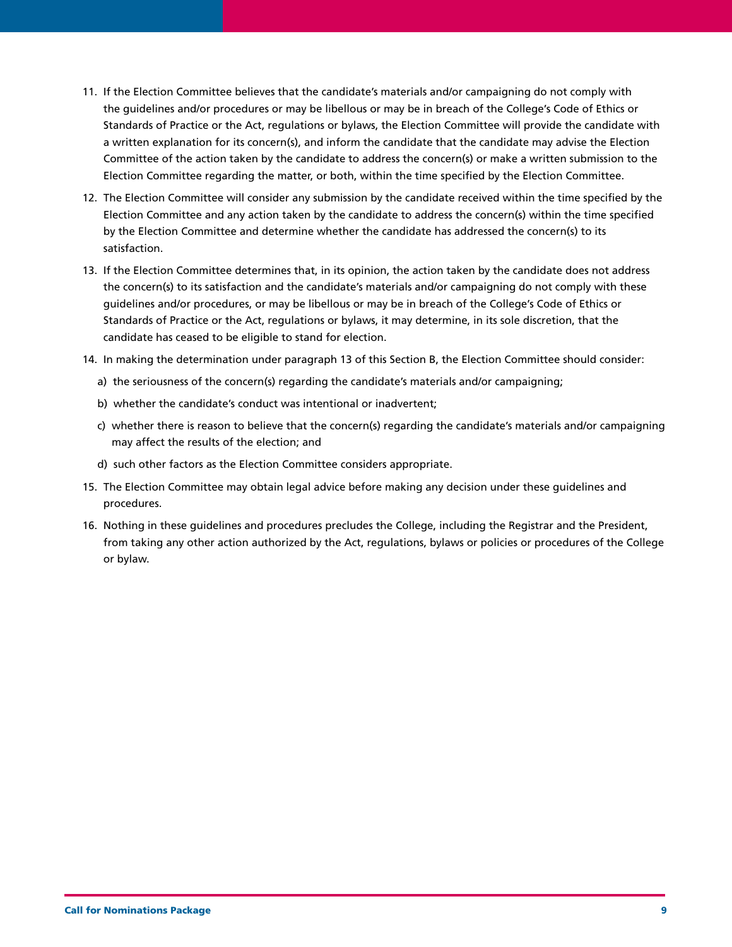- 11. If the Election Committee believes that the candidate's materials and/or campaigning do not comply with the guidelines and/or procedures or may be libellous or may be in breach of the College's Code of Ethics or Standards of Practice or the Act, regulations or bylaws, the Election Committee will provide the candidate with a written explanation for its concern(s), and inform the candidate that the candidate may advise the Election Committee of the action taken by the candidate to address the concern(s) or make a written submission to the Election Committee regarding the matter, or both, within the time specified by the Election Committee.
- 12. The Election Committee will consider any submission by the candidate received within the time specified by the Election Committee and any action taken by the candidate to address the concern(s) within the time specified by the Election Committee and determine whether the candidate has addressed the concern(s) to its satisfaction.
- 13. If the Election Committee determines that, in its opinion, the action taken by the candidate does not address the concern(s) to its satisfaction and the candidate's materials and/or campaigning do not comply with these guidelines and/or procedures, or may be libellous or may be in breach of the College's Code of Ethics or Standards of Practice or the Act, regulations or bylaws, it may determine, in its sole discretion, that the candidate has ceased to be eligible to stand for election.
- 14. In making the determination under paragraph 13 of this Section B, the Election Committee should consider:
	- a) the seriousness of the concern(s) regarding the candidate's materials and/or campaigning;
	- b) whether the candidate's conduct was intentional or inadvertent;
	- c) whether there is reason to believe that the concern(s) regarding the candidate's materials and/or campaigning may affect the results of the election; and
	- d) such other factors as the Election Committee considers appropriate.
- 15. The Election Committee may obtain legal advice before making any decision under these guidelines and procedures.
- 16. Nothing in these guidelines and procedures precludes the College, including the Registrar and the President, from taking any other action authorized by the Act, regulations, bylaws or policies or procedures of the College or bylaw.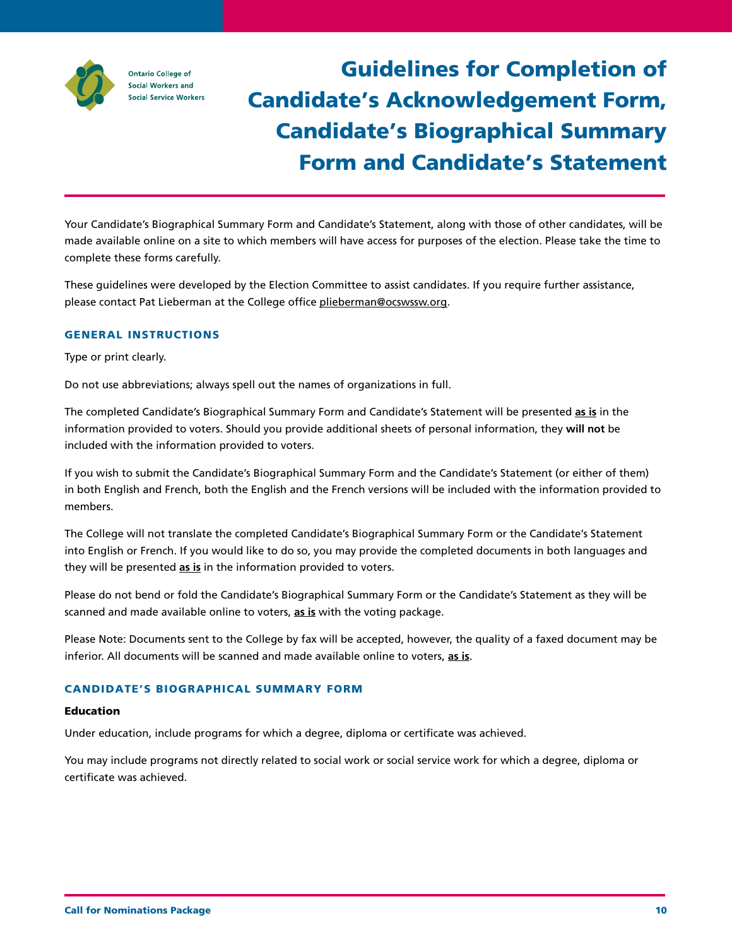

# Guidelines for Completion of Candidate's Acknowledgement Form, Candidate's Biographical Summary Form and Candidate's Statement

Your Candidate's Biographical Summary Form and Candidate's Statement, along with those of other candidates, will be made available online on a site to which members will have access for purposes of the election. Please take the time to complete these forms carefully.

These guidelines were developed by the Election Committee to assist candidates. If you require further assistance, please contact Pat Lieberman at the College office [plieberman@ocswssw.org](mailto:plieberman%40ocswssw.org?subject=).

# GENERAL INSTRUCTIONS

Type or print clearly.

Do not use abbreviations; always spell out the names of organizations in full.

The completed Candidate's Biographical Summary Form and Candidate's Statement will be presented **as is** in the information provided to voters. Should you provide additional sheets of personal information, they **will not** be included with the information provided to voters.

If you wish to submit the Candidate's Biographical Summary Form and the Candidate's Statement (or either of them) in both English and French, both the English and the French versions will be included with the information provided to members.

The College will not translate the completed Candidate's Biographical Summary Form or the Candidate's Statement into English or French. If you would like to do so, you may provide the completed documents in both languages and they will be presented **as is** in the information provided to voters.

Please do not bend or fold the Candidate's Biographical Summary Form or the Candidate's Statement as they will be scanned and made available online to voters, **as is** with the voting package.

Please Note: Documents sent to the College by fax will be accepted, however, the quality of a faxed document may be inferior. All documents will be scanned and made available online to voters, **as is**.

# CANDIDATE'S BIOGRAPHICAL SUMMARY FORM

#### Education

Under education, include programs for which a degree, diploma or certificate was achieved.

You may include programs not directly related to social work or social service work for which a degree, diploma or certificate was achieved.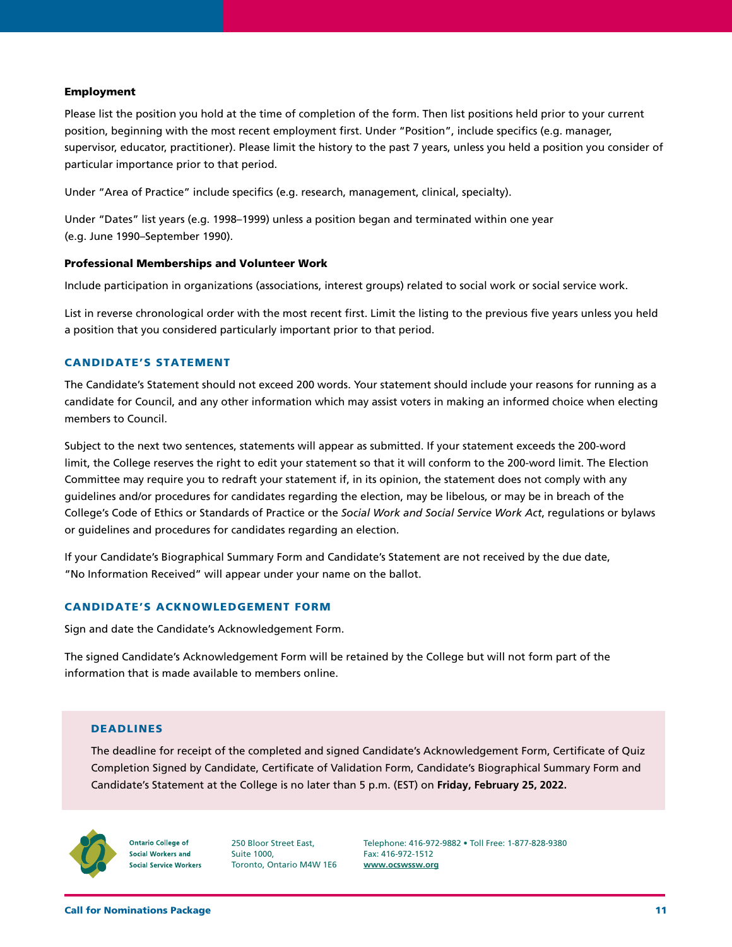#### Employment

 Please list the position you hold at the time of completion of the form. Then list positions held prior to your current position, beginning with the most recent employment first. Under "Position", include specifics (e.g. manager, supervisor, educator, practitioner). Please limit the history to the past 7 years, unless you held a position you consider of particular importance prior to that period.

Under "Area of Practice" include specifics (e.g. research, management, clinical, specialty).

 Under "Dates" list years (e.g. 1998–1999) unless a position began and terminated within one year (e.g. June 1990–September 1990).

### Professional Memberships and Volunteer Work

Include participation in organizations (associations, interest groups) related to social work or social service work.

 List in reverse chronological order with the most recent first. Limit the listing to the previous five years unless you held a position that you considered particularly important prior to that period.

#### CANDIDATE'S STATEMENT

 The Candidate's Statement should not exceed 200 words. Your statement should include your reasons for running as a candidate for Council, and any other information which may assist voters in making an informed choice when electing members to Council.

 Subject to the next two sentences, statements will appear as submitted. If your statement exceeds the 200-word limit, the College reserves the right to edit your statement so that it will conform to the 200-word limit. The Election Committee may require you to redraft your statement if, in its opinion, the statement does not comply with any guidelines and/or procedures for candidates regarding the election, may be libelous, or may be in breach of the College's Code of Ethics or Standards of Practice or the *Social Work and Social Service Work Act*, regulations or bylaws or guidelines and procedures for candidates regarding an election.

 If your Candidate's Biographical Summary Form and Candidate's Statement are not received by the due date, "No Information Received" will appear under your name on the ballot.

#### CANDIDATE'S ACKNOWLEDGEMENT FORM

Sign and date the Candidate's Acknowledgement Form.

 The signed Candidate's Acknowledgement Form will be retained by the College but will not form part of the information that is made available to members online.

#### DEADLINES

The deadline for receipt of the completed and signed Candidate's Acknowledgement Form, Certificate of Quiz Completion Signed by Candidate, Certificate of Validation Form, Candidate's Biographical Summary Form and Candidate's Statement at the College is no later than 5 p.m. (EST) on **Friday, February 25, 2022.**



**Ontario College of** Social Workers and **Social Service Workers** 

250 Bloor Street East, Suite 1000, Toronto, Ontario M4W 1E6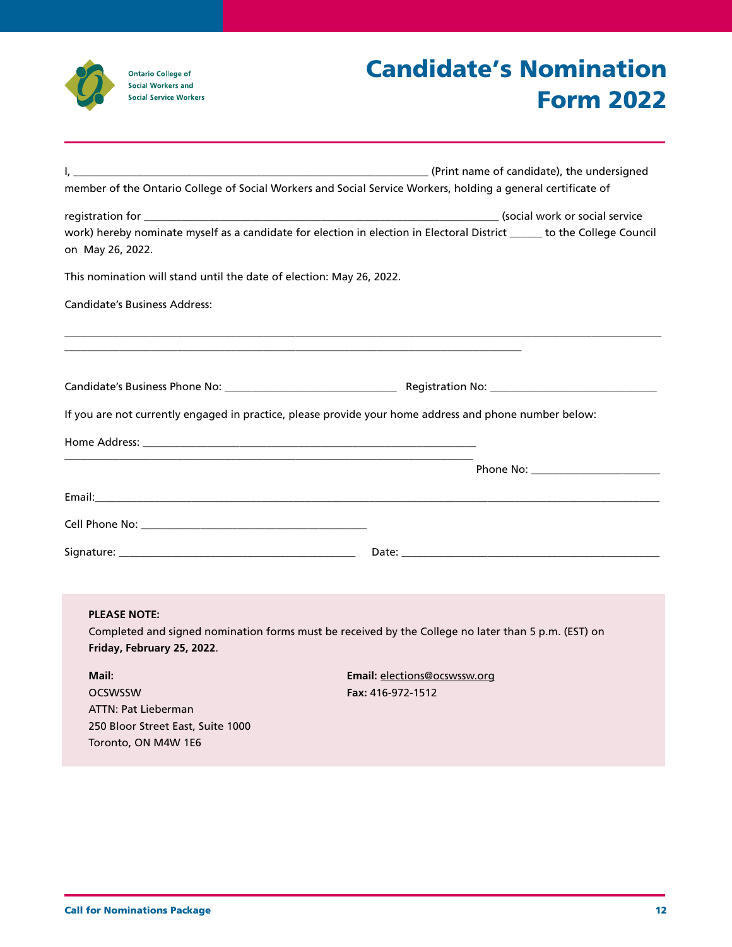

# Candidate's Nomination Form 2022

| L.                                                                                                                                                                                                                                 | (Print name of candidate), the undersigned (2008) 2009 (2008) 2009 (2008) 2009 (2008) 2009 (2008) 2009 (2008)           |
|------------------------------------------------------------------------------------------------------------------------------------------------------------------------------------------------------------------------------------|-------------------------------------------------------------------------------------------------------------------------|
|                                                                                                                                                                                                                                    | member of the Ontario College of Social Workers and Social Service Workers, holding a general certificate of            |
| on May 26, 2022.                                                                                                                                                                                                                   | work) hereby nominate myself as a candidate for election in election in Electoral District _____ to the College Council |
| This nomination will stand until the date of election: May 26, 2022.                                                                                                                                                               |                                                                                                                         |
| <b>Candidate's Business Address:</b>                                                                                                                                                                                               |                                                                                                                         |
|                                                                                                                                                                                                                                    |                                                                                                                         |
|                                                                                                                                                                                                                                    |                                                                                                                         |
|                                                                                                                                                                                                                                    | If you are not currently engaged in practice, please provide your home address and phone number below:                  |
|                                                                                                                                                                                                                                    |                                                                                                                         |
|                                                                                                                                                                                                                                    |                                                                                                                         |
|                                                                                                                                                                                                                                    |                                                                                                                         |
| <b>Cell Phone No:</b> The Contract of the Contract of the Contract of the Contract of the Contract of the Contract of the Contract of the Contract of the Contract of the Contract of the Contract of the Contract of the Contract |                                                                                                                         |
|                                                                                                                                                                                                                                    |                                                                                                                         |
|                                                                                                                                                                                                                                    |                                                                                                                         |
| <b>PLEASE NOTE:</b><br>Friday, February 25, 2022.                                                                                                                                                                                  | Completed and signed nomination forms must be received by the College no later than 5 p.m. (EST) on                     |
| Mail:<br><b>OCSWSSW</b><br><b>ATTN: Pat Lieberman</b><br>250 Bloor Street East, Suite 1000<br>Toronto, ON M4W 1E6                                                                                                                  | Email: elections@ocswssw.org<br>Fax: 416-972-1512                                                                       |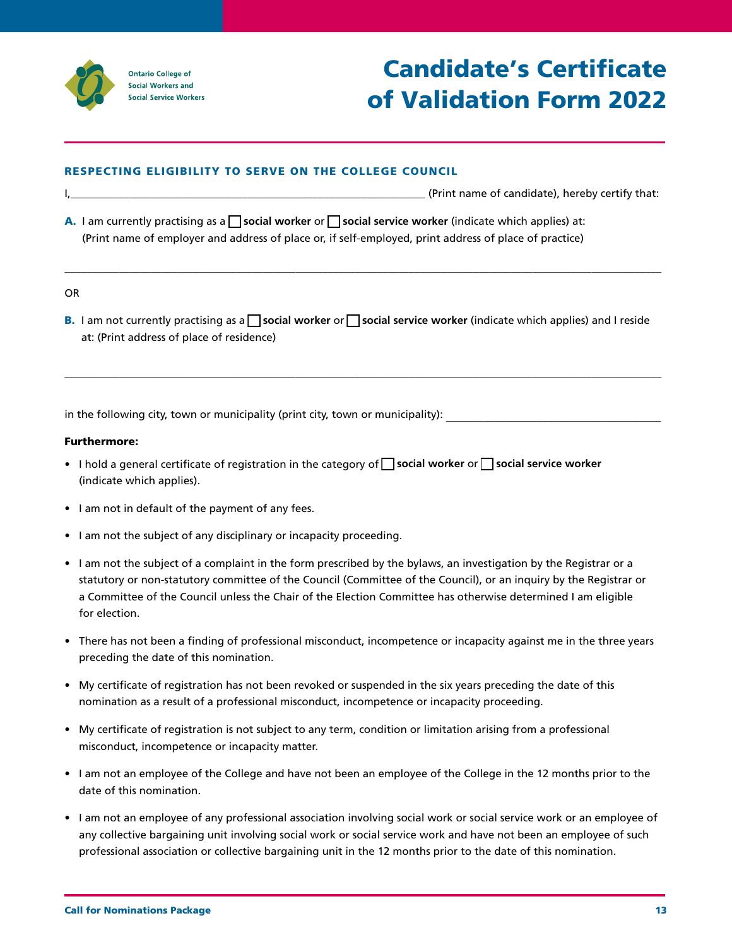

# Candidate's Certificate of Validation Form 2022

# RESPECTING ELIGIBILITY TO SERVE ON THE COLLEGE COUNCIL

\_\_\_\_\_\_\_\_\_\_\_\_\_\_\_\_\_\_\_\_\_\_\_\_\_\_\_\_\_\_\_\_\_\_\_\_\_\_\_\_\_\_\_\_\_\_\_\_\_\_\_\_\_\_\_\_\_\_\_\_\_\_\_\_\_\_ (Print name of candidate) I, , hereby certify that:

(Print name of employer and address of place or, if self-employed, print address of place of practice) **A.** I am currently practising as a **Social worker** or **Social service worker** (indicate which applies) at:

#### OR

(Print address of place of residence) at: **B.** I am not currently practising as a **social worker** or **social service worker** (indicate which applies) and I reside

\_\_\_\_\_\_\_\_\_\_\_\_\_\_\_\_\_\_\_\_\_\_\_\_\_\_\_\_\_\_\_\_\_\_\_\_\_\_\_\_\_\_\_\_\_\_\_\_\_\_\_\_\_\_\_\_\_\_\_\_\_\_\_\_\_\_\_\_\_\_\_\_\_\_\_\_\_\_\_\_\_\_\_\_\_\_\_\_\_\_\_\_\_\_\_\_\_\_\_\_\_\_\_\_\_\_\_\_\_\_\_

 $\bot$  , and the state of the state of the state of the state of the state of the state of the state of the state of the state of the state of the state of the state of the state of the state of the state of the state of th

in the following city, town or municipality (print city, town or municipality): \_\_\_\_\_\_\_\_\_\_\_\_\_\_\_\_\_\_\_\_\_\_\_\_\_\_\_\_\_\_

### Furthermore:

- **•** I hold a general certificate of registration in the category of **Social worker** or **Social service worker** (indicate which applies).
- I am not in default of the payment of any fees.
- I am not the subject of any disciplinary or incapacity proceeding.
- I am not the subject of a complaint in the form prescribed by the bylaws, an investigation by the Registrar or a statutory or non-statutory committee of the Council (Committee of the Council), or an inquiry by the Registrar or a Committee of the Council unless the Chair of the Election Committee has otherwise determined I am eligible for election.
- There has not been a finding of professional misconduct, incompetence or incapacity against me in the three years preceding the date of this nomination.
- My certificate of registration has not been revoked or suspended in the six years preceding the date of this nomination as a result of a professional misconduct, incompetence or incapacity proceeding.
- My certificate of registration is not subject to any term, condition or limitation arising from a professional misconduct, incompetence or incapacity matter.
- I am not an employee of the College and have not been an employee of the College in the 12 months prior to the date of this nomination.
- I am not an employee of any professional association involving social work or social service work or an employee of any collective bargaining unit involving social work or social service work and have not been an employee of such professional association or collective bargaining unit in the 12 months prior to the date of this nomination.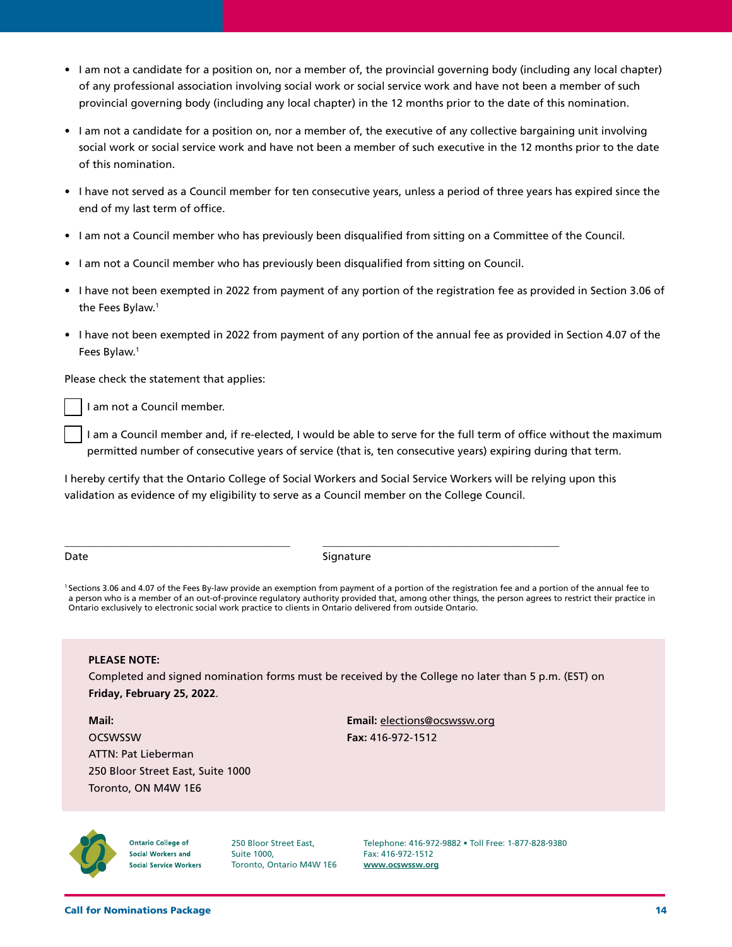- I am not a candidate for a position on, nor a member of, the provincial governing body (including any local chapter) of any professional association involving social work or social service work and have not been a member of such provincial governing body (including any local chapter) in the 12 months prior to the date of this nomination.
- I am not a candidate for a position on, nor a member of, the executive of any collective bargaining unit involving social work or social service work and have not been a member of such executive in the 12 months prior to the date of this nomination.
- I have not served as a Council member for ten consecutive years, unless a period of three years has expired since the end of my last term of office.
- I am not a Council member who has previously been disqualified from sitting on a Committee of the Council.
- I am not a Council member who has previously been disqualified from sitting on Council.
- I have not been exempted in 2022 from payment of any portion of the registration fee as provided in Section 3.06 of the Fees Bylaw. 1
- I have not been exempted in 2022 from payment of any portion of the annual fee as provided in Section 4.07 of the Fees Bylaw. 1

Please check the statement that applies:

I am not a Council member.

I am a Council member and, if re-elected, I would be able to serve for the full term of office without the maximum permitted number of consecutive years of service (that is, ten consecutive years) expiring during that term.

I hereby certify that the Ontario College of Social Workers and Social Service Workers will be relying upon this validation as evidence of my eligibility to serve as a Council member on the College Council.

Date Signature

\_\_\_\_\_\_\_\_\_\_\_\_\_\_\_\_\_\_\_\_\_\_\_\_\_\_\_\_\_\_\_\_\_\_\_\_\_\_\_\_\_\_ \_\_\_\_\_\_\_\_\_\_\_\_\_\_\_\_\_\_\_\_\_\_\_\_\_\_\_\_\_\_\_\_\_\_\_\_\_\_\_\_\_\_\_\_

1 Sections 3.06 and 4.07 of the Fees By-law provide an exemption from payment of a portion of the registration fee and a portion of the annual fee to a person who is a member of an out-of-province regulatory authority provided that, among other things, the person agrees to restrict their practice in Ontario exclusively to electronic social work practice to clients in Ontario delivered from outside Ontario.

#### **PLEASE NOTE:**

Completed and signed nomination forms must be received by the College no later than 5 p.m. (EST) on **Friday, February 25, 2022**.

**Mail: Email:** elections@ocswssw.org OCSWSSW **Fax:** 416-972-1512 ATTN: Pat Lieberman 250 Bloor Street East, Suite 1000 Toronto, ON M4W 1E6



**Ontario College of** Social Workers and **Social Service Workers** 

250 Bloor Street East, Suite 1000, Toronto, Ontario M4W 1E6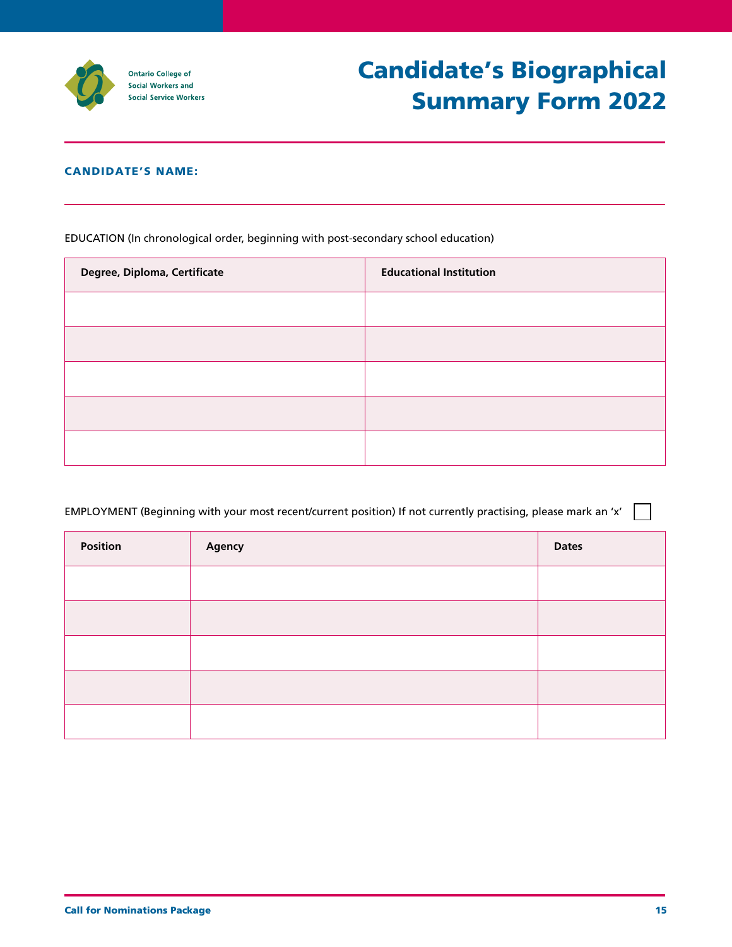

# CANDIDATE'S NAME:

EDUCATION (In chronological order, beginning with post-secondary school education)

| Degree, Diploma, Certificate | <b>Educational Institution</b> |
|------------------------------|--------------------------------|
|                              |                                |
|                              |                                |
|                              |                                |
|                              |                                |
|                              |                                |

| Position | Agency | <b>Dates</b> |
|----------|--------|--------------|
|          |        |              |
|          |        |              |
|          |        |              |
|          |        |              |
|          |        |              |

 $\sim$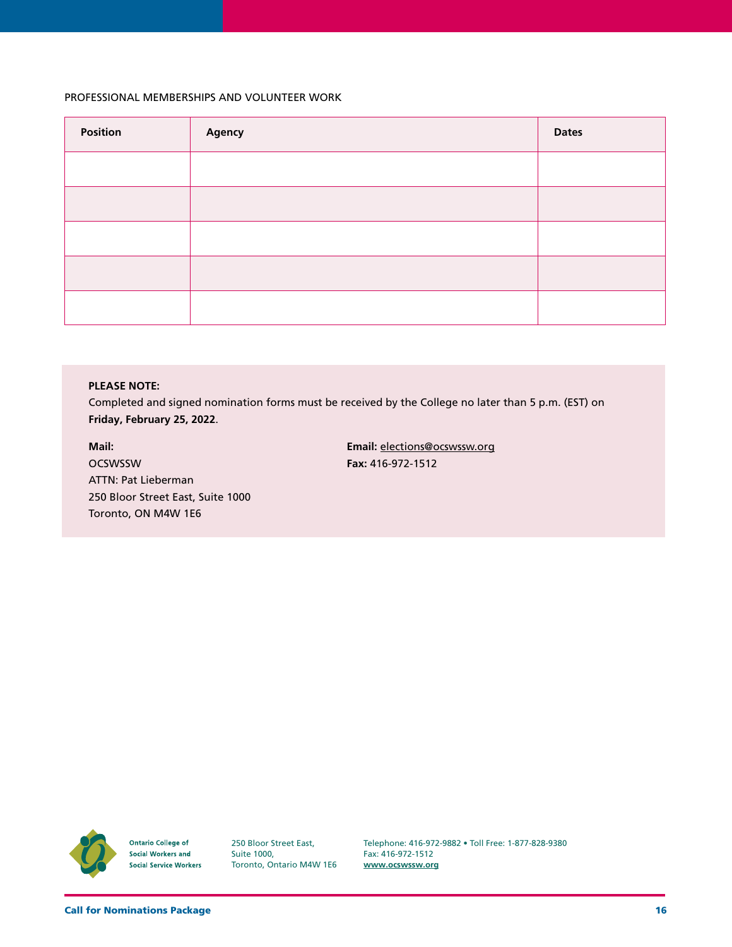#### PROFESSIONAL MEMBERSHIPS AND VOLUNTEER WORK

| Position | Agency | <b>Dates</b> |
|----------|--------|--------------|
|          |        |              |
|          |        |              |
|          |        |              |
|          |        |              |
|          |        |              |

### **PLEASE NOTE:**

Completed and signed nomination forms must be received by the College no later than 5 p.m. (EST) on **Friday, February 25, 2022**.

**Mail: Email:** elections@ocswssw.org OCSWSSW **Fax:** 416-972-1512 ATTN: Pat Lieberman 250 Bloor Street East, Suite 1000 Toronto, ON M4W 1E6



**Ontario College of Social Workers and Social Service Workers** 

250 Bloor Street East, Suite 1000, Toronto, Ontario M4W 1E6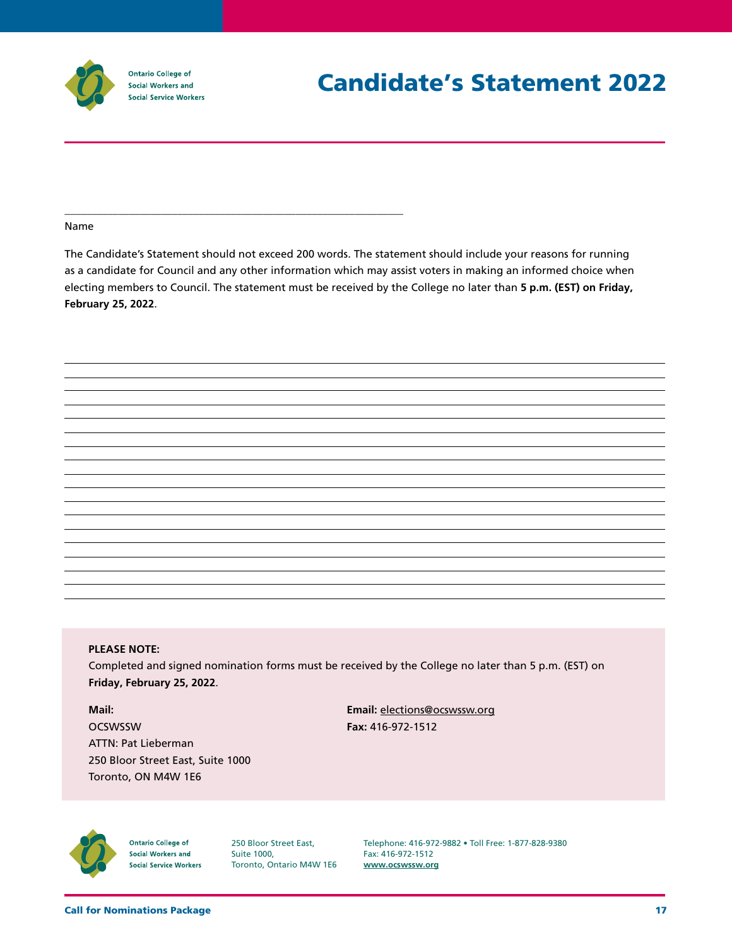

\_\_\_\_\_\_\_\_\_\_\_\_\_\_\_\_\_\_\_\_\_\_\_\_\_\_\_\_\_\_\_\_\_\_\_\_\_\_\_\_\_\_\_\_\_\_\_\_\_\_\_\_\_\_\_\_\_\_\_\_\_\_\_

#### Name

The Candidate's Statement should not exceed 200 words. The statement should include your reasons for running as a candidate for Council and any other information which may assist voters in making an informed choice when electing members to Council. The statement must be received by the College no later than **5 p.m. (EST) on Friday, February 25, 2022**.

#### **PLEASE NOTE:**

Completed and signed nomination forms must be received by the College no later than 5 p.m. (EST) on **Friday, February 25, 2022**.

**Mail: Email:** elections@ocswssw.org OCSWSSW **Fax:** 416-972-1512 ATTN: Pat Lieberman 250 Bloor Street East, Suite 1000 Toronto, ON M4W 1E6



**Ontario College of** Social Workers and **Social Service Workers**  250 Bloor Street East, Suite 1000, Toronto, Ontario M4W 1E6